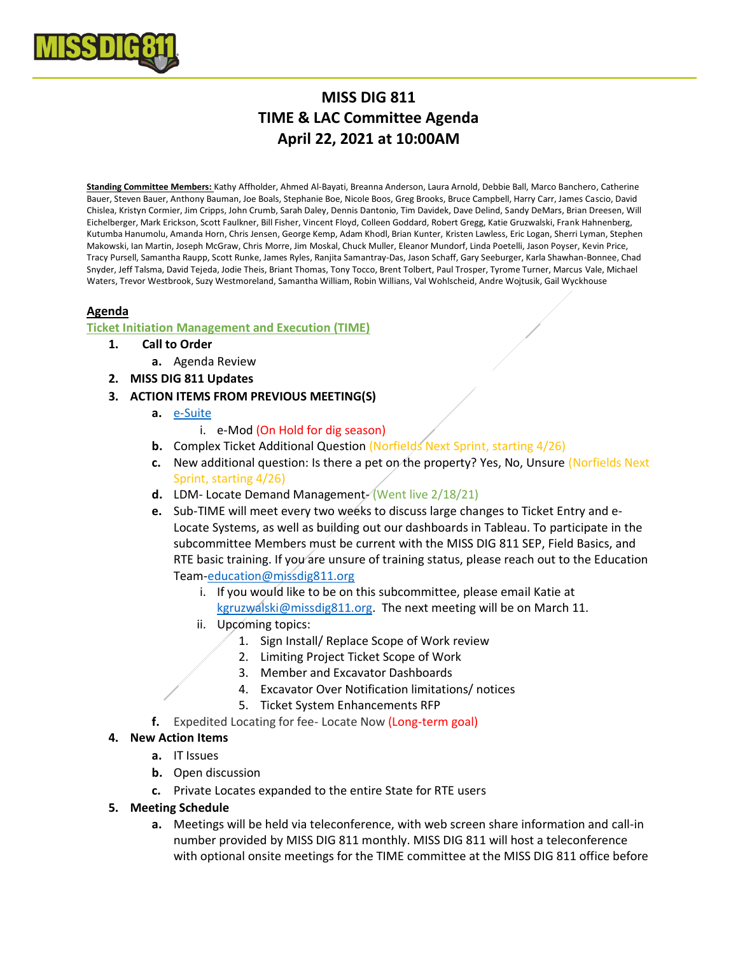

# **MISS DIG 811 TIME & LAC Committee Agenda April 22, 2021 at 10:00AM**

**Standing Committee Members:** Kathy Affholder, Ahmed Al-Bayati, Breanna Anderson, Laura Arnold, Debbie Ball, Marco Banchero, Catherine Bauer, Steven Bauer, Anthony Bauman, Joe Boals, Stephanie Boe, Nicole Boos, Greg Brooks, Bruce Campbell, Harry Carr, James Cascio, David Chislea, Kristyn Cormier, Jim Cripps, John Crumb, Sarah Daley, Dennis Dantonio, Tim Davidek, Dave Delind, Sandy DeMars, Brian Dreesen, Will Eichelberger, Mark Erickson, Scott Faulkner, Bill Fisher, Vincent Floyd, Colleen Goddard, Robert Gregg, Katie Gruzwalski, Frank Hahnenberg, Kutumba Hanumolu, Amanda Horn, Chris Jensen, George Kemp, Adam Khodl, Brian Kunter, Kristen Lawless, Eric Logan, Sherri Lyman, Stephen Makowski, Ian Martin, Joseph McGraw, Chris Morre, Jim Moskal, Chuck Muller, Eleanor Mundorf, Linda Poetelli, Jason Poyser, Kevin Price, Tracy Pursell, Samantha Raupp, Scott Runke, James Ryles, Ranjita Samantray-Das, Jason Schaff, Gary Seeburger, Karla Shawhan-Bonnee, Chad Snyder, Jeff Talsma, David Tejeda, Jodie Theis, Briant Thomas, Tony Tocco, Brent Tolbert, Paul Trosper, Tyrome Turner, Marcus Vale, Michael Waters, Trevor Westbrook, Suzy Westmoreland, Samantha William, Robin Willians, Val Wohlscheid, Andre Wojtusik, Gail Wyckhouse

## **Agenda**

## **Ticket Initiation Management and Execution (TIME)**

- **1. Call to Order**
	- **a.** Agenda Review
- **2. MISS DIG 811 Updates**
- **3. ACTION ITEMS FROM PREVIOUS MEETING(S)**
	- **a.** [e-Suite](https://newtin.missdig.org/e-suite/index.html)
		- i. e-Mod (On Hold for dig season)
	- **b.** Complex Ticket Additional Question (Norfields Next Sprint, starting 4/26)
	- **c.** New additional question: Is there a pet on the property? Yes, No, Unsure (Norfields Next Sprint, starting 4/26)
	- **d.** LDM- Locate Demand Management- (Went live 2/18/21)
	- **e.** Sub-TIME will meet every two weeks to discuss large changes to Ticket Entry and e-Locate Systems, as well as building out our dashboards in Tableau. To participate in the subcommittee Members must be current with the MISS DIG 811 SEP, Field Basics, and RTE basic training. If you are unsure of training status, please reach out to the Education Team[-education@missdig811.org](mailto:education@missdig811.org)
		- i. If you would like to be on this subcommittee, please email Katie at [kgruzwalski@missdig811.org.](mailto:kgruzwalski@missdig811.org) The next meeting will be on March 11.
		- ii. Upcoming topics:
			- 1. Sign Install/ Replace Scope of Work review
			- 2. Limiting Project Ticket Scope of Work
			- 3. Member and Excavator Dashboards
			- 4. Excavator Over Notification limitations/ notices
			- 5. Ticket System Enhancements RFP
	- **f.** Expedited Locating for fee- Locate Now (Long-term goal)

## **4. New Action Items**

- **a.** IT Issues
- **b.** Open discussion
- **c.** Private Locates expanded to the entire State for RTE users
- **5. Meeting Schedule**
	- **a.** Meetings will be held via teleconference, with web screen share information and call-in number provided by MISS DIG 811 monthly. MISS DIG 811 will host a teleconference with optional onsite meetings for the TIME committee at the MISS DIG 811 office before